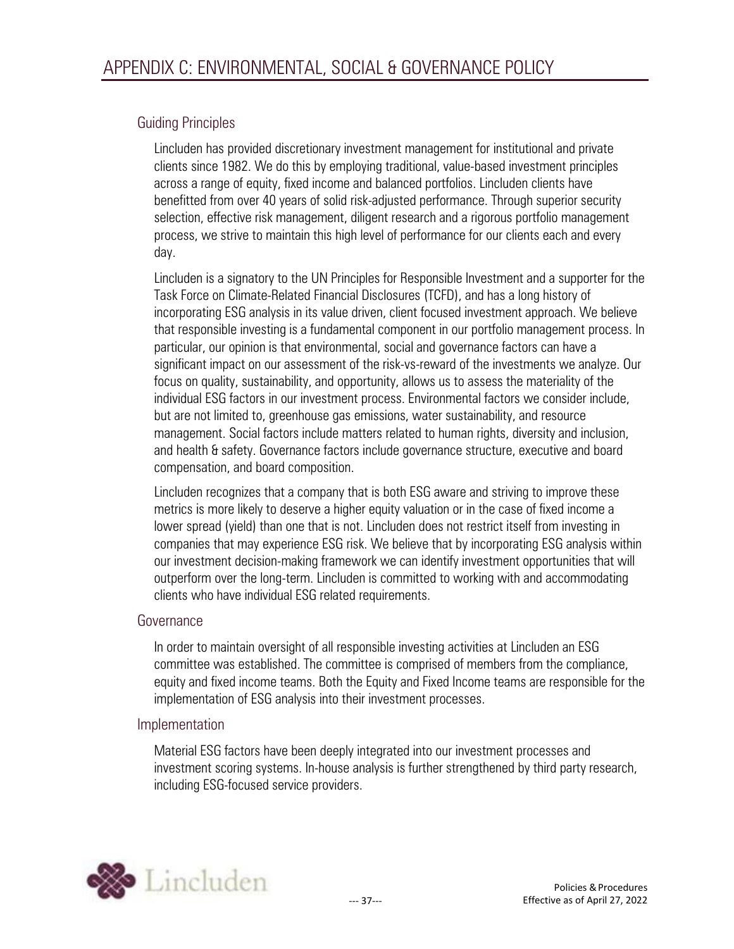# Guiding Principles

Lincluden has provided discretionary investment management for institutional and private clients since 1982. We do this by employing traditional, value-based investment principles across a range of equity, fixed income and balanced portfolios. Lincluden clients have benefitted from over 40 years of solid risk-adjusted performance. Through superior security selection, effective risk management, diligent research and a rigorous portfolio management process, we strive to maintain this high level of performance for our clients each and every day.

Lincluden is a signatory to the UN Principles for Responsible Investment and a supporter for the Task Force on Climate-Related Financial Disclosures (TCFD), and has a long history of incorporating ESG analysis in its value driven, client focused investment approach. We believe that responsible investing is a fundamental component in our portfolio management process. In particular, our opinion is that environmental, social and governance factors can have a significant impact on our assessment of the risk-vs-reward of the investments we analyze. Our focus on quality, sustainability, and opportunity, allows us to assess the materiality of the individual ESG factors in our investment process. Environmental factors we consider include, but are not limited to, greenhouse gas emissions, water sustainability, and resource management. Social factors include matters related to human rights, diversity and inclusion, and health & safety. Governance factors include governance structure, executive and board compensation, and board composition.

Lincluden recognizes that a company that is both ESG aware and striving to improve these metrics is more likely to deserve a higher equity valuation or in the case of fixed income a lower spread (yield) than one that is not. Lincluden does not restrict itself from investing in companies that may experience ESG risk. We believe that by incorporating ESG analysis within our investment decision-making framework we can identify investment opportunities that will outperform over the long-term. Lincluden is committed to working with and accommodating clients who have individual ESG related requirements.

# Governance

In order to maintain oversight of all responsible investing activities at Lincluden an ESG committee was established. The committee is comprised of members from the compliance, equity and fixed income teams. Both the Equity and Fixed Income teams are responsible for the implementation of ESG analysis into their investment processes.

# Implementation

Material ESG factors have been deeply integrated into our investment processes and investment scoring systems. In-house analysis is further strengthened by third party research, including ESG-focused service providers.

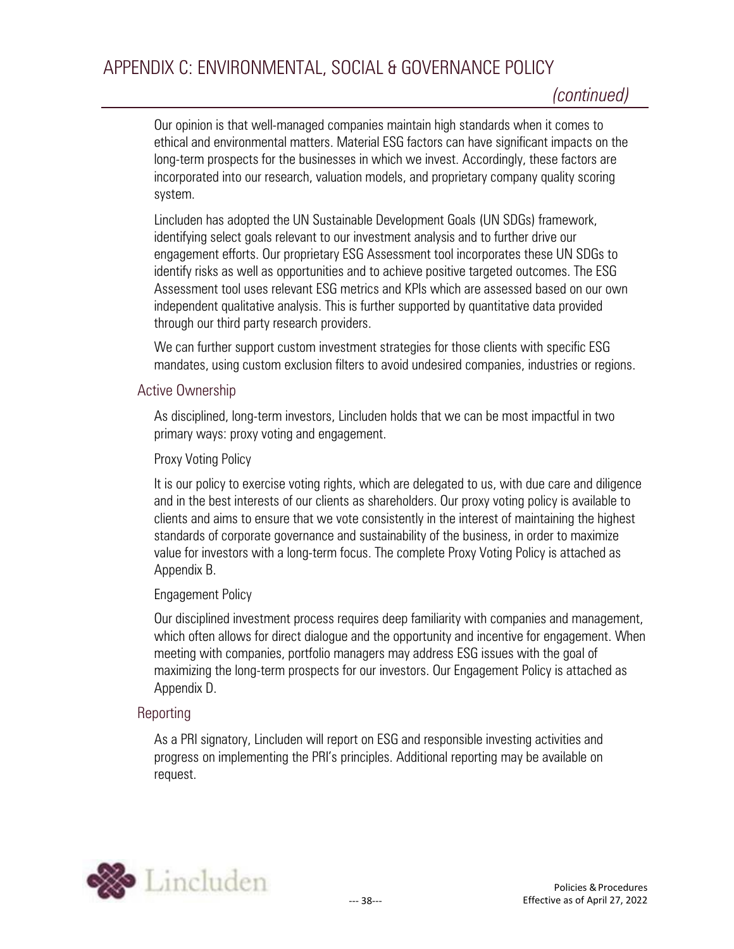# APPENDIX C: ENVIRONMENTAL, SOCIAL & GOVERNANCE POLICY

Our opinion is that well-managed companies maintain high standards when it comes to ethical and environmental matters. Material ESG factors can have significant impacts on the long-term prospects for the businesses in which we invest. Accordingly, these factors are incorporated into our research, valuation models, and proprietary company quality scoring system.

Lincluden has adopted the UN Sustainable Development Goals (UN SDGs) framework, identifying select goals relevant to our investment analysis and to further drive our engagement efforts. Our proprietary ESG Assessment tool incorporates these UN SDGs to identify risks as well as opportunities and to achieve positive targeted outcomes. The ESG Assessment tool uses relevant ESG metrics and KPIs which are assessed based on our own independent qualitative analysis. This is further supported by quantitative data provided through our third party research providers.

We can further support custom investment strategies for those clients with specific ESG mandates, using custom exclusion filters to avoid undesired companies, industries or regions.

#### Active Ownership

As disciplined, long-term investors, Lincluden holds that we can be most impactful in two primary ways: proxy voting and engagement.

#### Proxy Voting Policy

It is our policy to exercise voting rights, which are delegated to us, with due care and diligence and in the best interests of our clients as shareholders. Our proxy voting policy is available to clients and aims to ensure that we vote consistently in the interest of maintaining the highest standards of corporate governance and sustainability of the business, in order to maximize value for investors with a long-term focus. The complete Proxy Voting Policy is attached as Appendix B.

#### Engagement Policy

Our disciplined investment process requires deep familiarity with companies and management, which often allows for direct dialogue and the opportunity and incentive for engagement. When meeting with companies, portfolio managers may address ESG issues with the goal of maximizing the long-term prospects for our investors. Our Engagement Policy is attached as Appendix D.

# Reporting

As a PRI signatory, Lincluden will report on ESG and responsible investing activities and progress on implementing the PRI's principles. Additional reporting may be available on request.